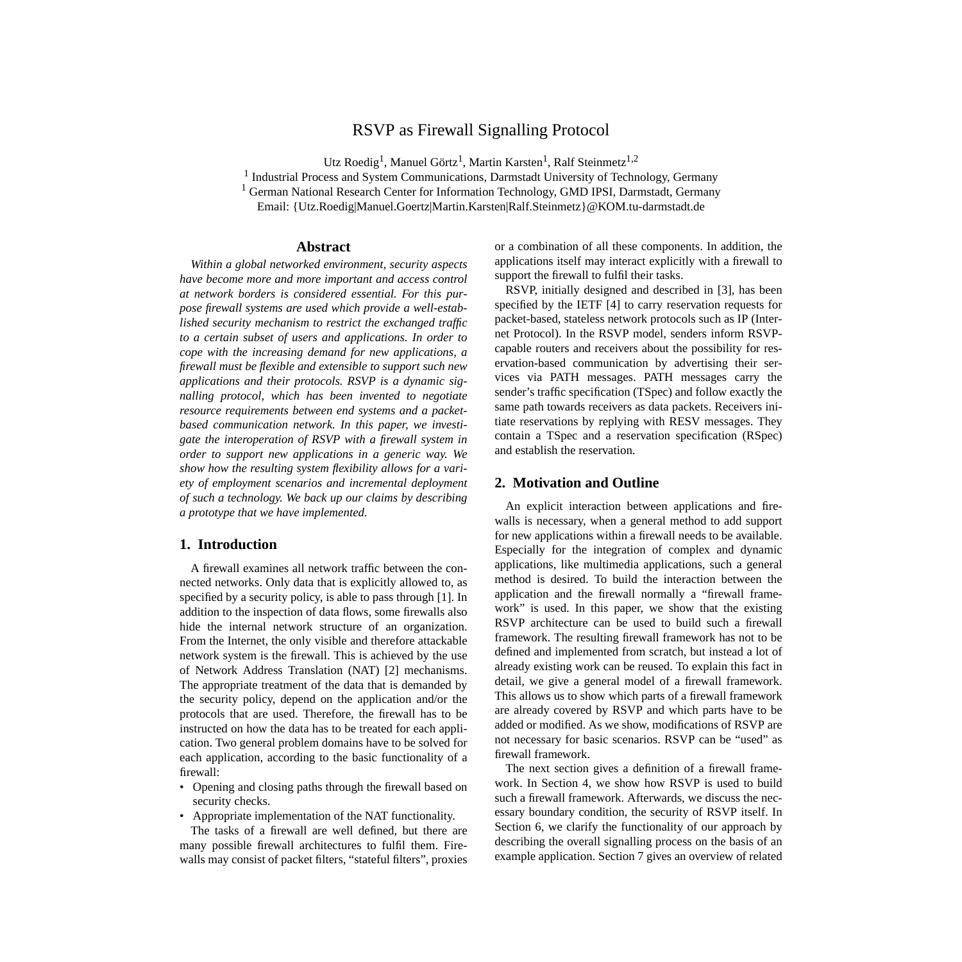# RSVP as Firewall Signalling Protocol

Utz Roedig<sup>1</sup>, Manuel Görtz<sup>1</sup>, Martin Karsten<sup>1</sup>, Ralf Steinmetz<sup>1,2</sup>

<sup>1</sup> Industrial Process and System Communications, Darmstadt University of Technology, Germany

<sup>1</sup> German National Research Center for Information Technology, GMD IPSI, Darmstadt, Germany

Email: {Utz.Roedig|Manuel.Goertz|Martin.Karsten|Ralf.Steinmetz}@KOM.tu-darmstadt.de

# **Abstract**

*Within a global networked environment, security aspects have become more and more important and access control at network borders is considered essential. For this purpose firewall systems are used which provide a well-established security mechanism to restrict the exchanged traffic to a certain subset of users and applications. In order to cope with the increasing demand for new applications, a firewall must be flexible and extensible to support such new applications and their protocols. RSVP is a dynamic signalling protocol, which has been invented to negotiate resource requirements between end systems and a packetbased communication network. In this paper, we investigate the interoperation of RSVP with a firewall system in order to support new applications in a generic way. We show how the resulting system flexibility allows for a variety of employment scenarios and incremental deployment of such a technology. We back up our claims by describing a prototype that we have implemented.*

# **1. Introduction**

A firewall examines all network traffic between the connected networks. Only data that is explicitly allowed to, as specified by a security policy, is able to pass through [\[1\]](#page-5-0). In addition to the inspection of data flows, some firewalls also hide the internal network structure of an organization. From the Internet, the only visible and therefore attackable network system is the firewall. This is achieved by the use of Network Address Translation (NAT) [\[2\]](#page-5-0) mechanisms. The appropriate treatment of the data that is demanded by the security policy, depend on the application and/or the protocols that are used. Therefore, the firewall has to be instructed on how the data has to be treated for each application. Two general problem domains have to be solved for each application, according to the basic functionality of a firewall:

- Opening and closing paths through the firewall based on security checks.
- Appropriate implementation of the NAT functionality.

The tasks of a firewall are well defined, but there are many possible firewall architectures to fulfil them. Firewalls may consist of packet filters, "stateful filters", proxies or a combination of all these components. In addition, the applications itself may interact explicitly with a firewall to support the firewall to fulfil their tasks.

RSVP, initially designed and described in [\[3\],](#page-5-0) has been specified by the IETF [\[4\]](#page-5-0) to carry reservation requests for packet-based, stateless network protocols such as IP (Internet Protocol). In the RSVP model, senders inform RSVPcapable routers and receivers about the possibility for reservation-based communication by advertising their services via PATH messages. PATH messages carry the sender's traffic specification (TSpec) and follow exactly the same path towards receivers as data packets. Receivers initiate reservations by replying with RESV messages. They contain a TSpec and a reservation specification (RSpec) and establish the reservation.

# **2. Motivation and Outline**

An explicit interaction between applications and firewalls is necessary, when a general method to add support for new applications within a firewall needs to be available. Especially for the integration of complex and dynamic applications, like multimedia applications, such a general method is desired. To build the interaction between the application and the firewall normally a "firewall framework" is used. In this paper, we show that the existing RSVP architecture can be used to build such a firewall framework. The resulting firewall framework has not to be defined and implemented from scratch, but instead a lot of already existing work can be reused. To explain this fact in detail, we give a general model of a firewall framework. This allows us to show which parts of a firewall framework are already covered by RSVP and which parts have to be added or modified. As we show, modifications of RSVP are not necessary for basic scenarios. RSVP can be "used" as firewall framework.

The next section gives a definition of a firewall framework. In [Section 4,](#page-2-0) we show how RSVP is used to build such a firewall framework. Afterwards, we discuss the necessary boundary condition, the security of RSVP itself. In [Section 6](#page-4-0), we clarify the functionality of our approach by describing the overall signalling process on the basis of an example application. [Section 7](#page-5-0) gives an overview of related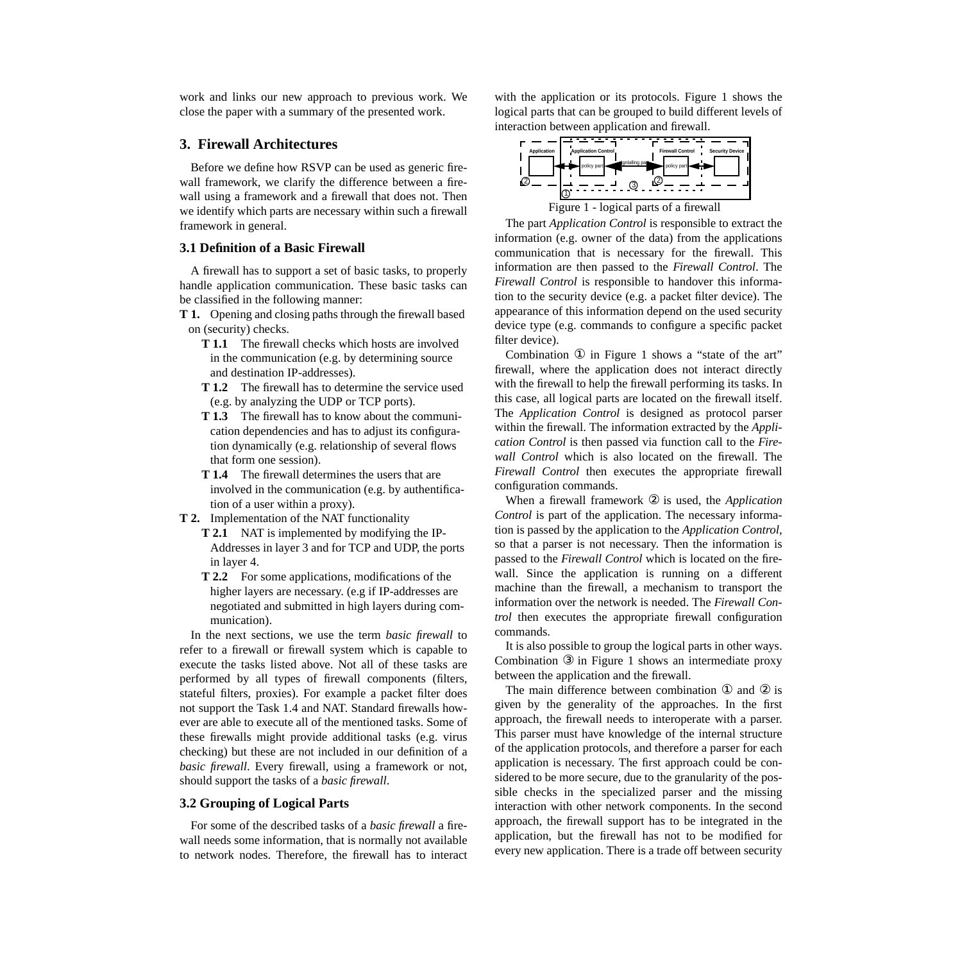<span id="page-1-0"></span>work and links our new approach to previous work. We close the paper with a summary of the presented work.

### **3. Firewall Architectures**

Before we define how RSVP can be used as generic firewall framework, we clarify the difference between a firewall using a framework and a firewall that does not. Then we identify which parts are necessary within such a firewall framework in general.

# **3.1 Definition of a Basic Firewall**

A firewall has to support a set of basic tasks, to properly handle application communication. These basic tasks can be classified in the following manner:

- **T 1.** Opening and closing paths through the firewall based on (security) checks.
	- **T 1.1** The firewall checks which hosts are involved in the communication (e.g. by determining source and destination IP-addresses).
	- **T 1.2** The firewall has to determine the service used (e.g. by analyzing the UDP or TCP ports).
	- **T 1.3** The firewall has to know about the communication dependencies and has to adjust its configuration dynamically (e.g. relationship of several flows that form one session).
	- **T 1.4** The firewall determines the users that are involved in the communication (e.g. by authentification of a user within a proxy).
- **T 2.** Implementation of the NAT functionality
	- **T 2.1** NAT is implemented by modifying the IP-Addresses in layer 3 and for TCP and UDP, the ports in layer 4.
	- **T 2.2** For some applications, modifications of the higher layers are necessary. (e.g if IP-addresses are negotiated and submitted in high layers during communication).

In the next sections, we use the term *basic firewall* to refer to a firewall or firewall system which is capable to execute the tasks listed above. Not all of these tasks are performed by all types of firewall components (filters, stateful filters, proxies). For example a packet filter does not support the Task 1.4 and NAT. Standard firewalls however are able to execute all of the mentioned tasks. Some of these firewalls might provide additional tasks (e.g. virus checking) but these are not included in our definition of a *basic firewall*. Every firewall, using a framework or not, should support the tasks of a *basic firewall*.

# **3.2 Grouping of Logical Parts**

For some of the described tasks of a *basic firewall* a firewall needs some information, that is normally not available to network nodes. Therefore, the firewall has to interact

with the application or its protocols. Figure 1 shows the logical parts that can be grouped to build different levels of interaction between application and firewall.



The part *Application Control* is responsible to extract the information (e.g. owner of the data) from the applications communication that is necessary for the firewall. This information are then passed to the *Firewall Control*. The *Firewall Control* is responsible to handover this information to the security device (e.g. a packet filter device). The appearance of this information depend on the used security device type (e.g. commands to configure a specific packet filter device).

Combination ① in Figure 1 shows a "state of the art" firewall, where the application does not interact directly with the firewall to help the firewall performing its tasks. In this case, all logical parts are located on the firewall itself. The *Application Control* is designed as protocol parser within the firewall. The information extracted by the *Application Control* is then passed via function call to the *Firewall Control* which is also located on the firewall. The *Firewall Control* then executes the appropriate firewall configuration commands.

When a firewall framework ② is used, the *Application Control* is part of the application. The necessary information is passed by the application to the *Application Control*, so that a parser is not necessary. Then the information is passed to the *Firewall Control* which is located on the firewall. Since the application is running on a different machine than the firewall, a mechanism to transport the information over the network is needed. The *Firewall Control* then executes the appropriate firewall configuration commands.

It is also possible to group the logical parts in other ways. Combination ③ in Figure 1 shows an intermediate proxy between the application and the firewall.

The main difference between combination ① and ② is given by the generality of the approaches. In the first approach, the firewall needs to interoperate with a parser. This parser must have knowledge of the internal structure of the application protocols, and therefore a parser for each application is necessary. The first approach could be considered to be more secure, due to the granularity of the possible checks in the specialized parser and the missing interaction with other network components. In the second approach, the firewall support has to be integrated in the application, but the firewall has not to be modified for every new application. There is a trade off between security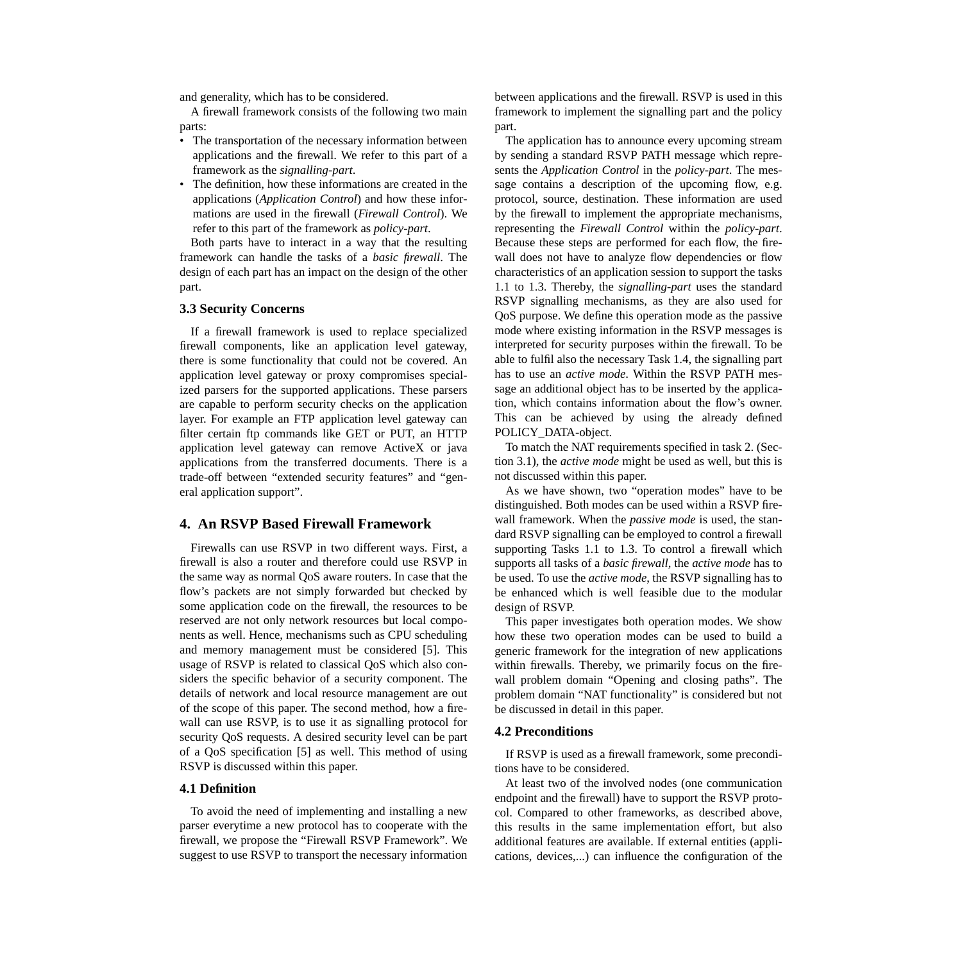<span id="page-2-0"></span>and generality, which has to be considered.

A firewall framework consists of the following two main parts:

- The transportation of the necessary information between applications and the firewall. We refer to this part of a framework as the *signalling-part*.
- The definition, how these informations are created in the applications (*Application Control*) and how these informations are used in the firewall (*Firewall Control*). We refer to this part of the framework as *policy-part*.

Both parts have to interact in a way that the resulting framework can handle the tasks of a *basic firewall*. The design of each part has an impact on the design of the other part.

#### **3.3 Security Concerns**

If a firewall framework is used to replace specialized firewall components, like an application level gateway, there is some functionality that could not be covered. An application level gateway or proxy compromises specialized parsers for the supported applications. These parsers are capable to perform security checks on the application layer. For example an FTP application level gateway can filter certain ftp commands like GET or PUT, an HTTP application level gateway can remove ActiveX or java applications from the transferred documents. There is a trade-off between "extended security features" and "general application support".

# **4. An RSVP Based Firewall Framework**

Firewalls can use RSVP in two different ways. First, a firewall is also a router and therefore could use RSVP in the same way as normal QoS aware routers. In case that the flow's packets are not simply forwarded but checked by some application code on the firewall, the resources to be reserved are not only network resources but local components as well. Hence, mechanisms such as CPU scheduling and memory management must be considered [\[5\]](#page-5-0). This usage of RSVP is related to classical QoS which also considers the specific behavior of a security component. The details of network and local resource management are out of the scope of this paper. The second method, how a firewall can use RSVP, is to use it as signalling protocol for security QoS requests. A desired security level can be part of a QoS specification [\[5\]](#page-5-0) as well. This method of using RSVP is discussed within this paper.

#### **4.1 Definition**

To avoid the need of implementing and installing a new parser everytime a new protocol has to cooperate with the firewall, we propose the "Firewall RSVP Framework". We suggest to use RSVP to transport the necessary information

between applications and the firewall. RSVP is used in this framework to implement the signalling part and the policy part.

The application has to announce every upcoming stream by sending a standard RSVP PATH message which represents the *Application Control* in the *policy-part*. The message contains a description of the upcoming flow, e.g. protocol, source, destination. These information are used by the firewall to implement the appropriate mechanisms, representing the *Firewall Control* within the *policy-part*. Because these steps are performed for each flow, the firewall does not have to analyze flow dependencies or flow characteristics of an application session to support the tasks 1.1 to 1.3. Thereby, the *signalling-part* uses the standard RSVP signalling mechanisms, as they are also used for QoS purpose. We define this operation mode as the passive mode where existing information in the RSVP messages is interpreted for security purposes within the firewall. To be able to fulfil also the necessary Task 1.4, the signalling part has to use an *active mode*. Within the RSVP PATH message an additional object has to be inserted by the application, which contains information about the flow's owner. This can be achieved by using the already defined POLICY\_DATA-object.

To match the NAT requirements specified in task 2. ([Sec](#page-1-0)[tion 3.1](#page-1-0)), the *active mode* might be used as well, but this is not discussed within this paper.

As we have shown, two "operation modes" have to be distinguished. Both modes can be used within a RSVP firewall framework. When the *passive mode* is used, the standard RSVP signalling can be employed to control a firewall supporting Tasks 1.1 to 1.3. To control a firewall which supports all tasks of a *basic firewall*, the *active mode* has to be used. To use the *active mode*, the RSVP signalling has to be enhanced which is well feasible due to the modular design of RSVP.

This paper investigates both operation modes. We show how these two operation modes can be used to build a generic framework for the integration of new applications within firewalls. Thereby, we primarily focus on the firewall problem domain "Opening and closing paths". The problem domain "NAT functionality" is considered but not be discussed in detail in this paper.

#### **4.2 Preconditions**

If RSVP is used as a firewall framework, some preconditions have to be considered.

At least two of the involved nodes (one communication endpoint and the firewall) have to support the RSVP protocol. Compared to other frameworks, as described above, this results in the same implementation effort, but also additional features are available. If external entities (applications, devices,...) can influence the configuration of the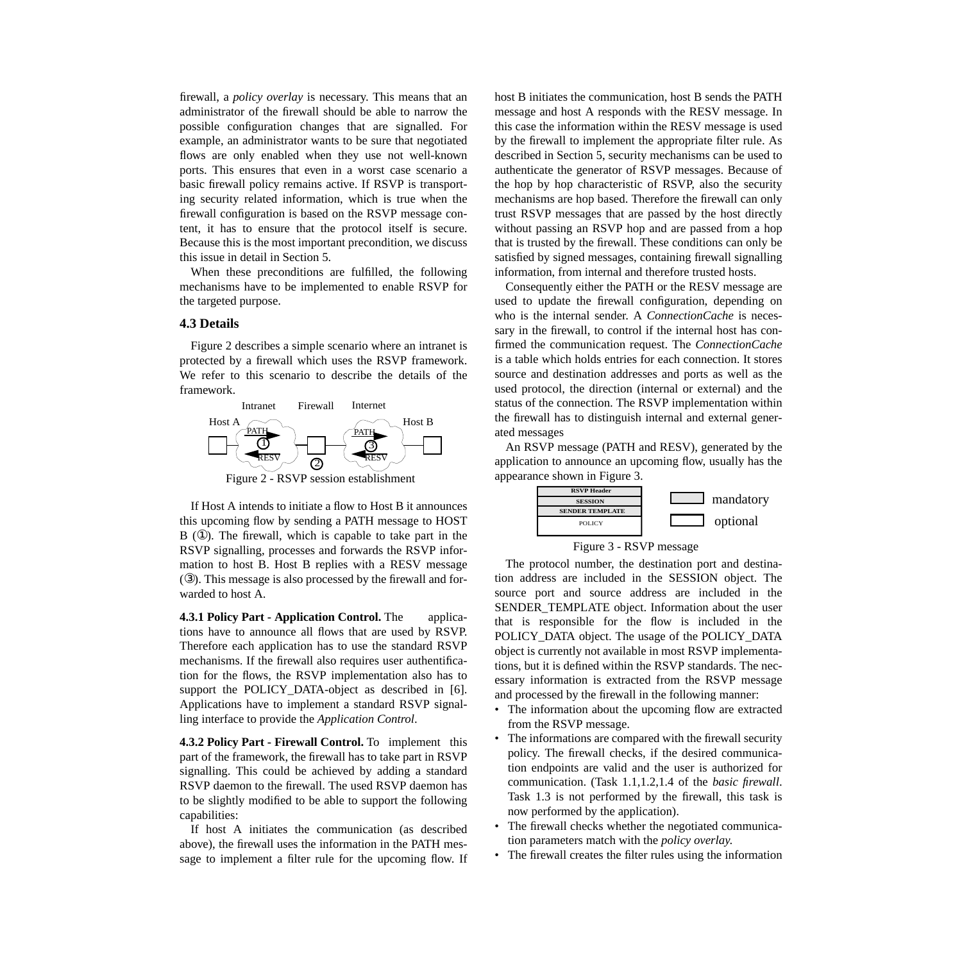firewall, a *policy overlay* is necessary. This means that an administrator of the firewall should be able to narrow the possible configuration changes that are signalled. For example, an administrator wants to be sure that negotiated flows are only enabled when they use not well-known ports. This ensures that even in a worst case scenario a basic firewall policy remains active. If RSVP is transporting security related information, which is true when the firewall configuration is based on the RSVP message content, it has to ensure that the protocol itself is secure. Because this is the most important precondition, we discuss this issue in detail in S[ection 5.](#page-4-0)

When these preconditions are fulfilled, the following mechanisms have to be implemented to enable RSVP for the targeted purpose.

### **4.3 Details**

Figure 2 describes a simple scenario where an intranet is protected by a firewall which uses the RSVP framework. We refer to this scenario to describe the details of the framework.



If Host A intends to initiate a flow to Host B it announces this upcoming flow by sending a PATH message to HOST B (①). The firewall, which is capable to take part in the RSVP signalling, processes and forwards the RSVP information to host B. Host B replies with a RESV message (③). This message is also processed by the firewall and forwarded to host A.

**4.3.1 Policy Part - Application Control.** The applications have to announce all flows that are used by RSVP. Therefore each application has to use the standard RSVP mechanisms. If the firewall also requires user authentification for the flows, the RSVP implementation also has to support the POLICY\_DATA-object as described in [\[6\]](#page-5-0). Applications have to implement a standard RSVP signalling interface to provide the *Application Control*.

**4.3.2 Policy Part - Firewall Control.** To implement this part of the framework, the firewall has to take part in RSVP signalling. This could be achieved by adding a standard RSVP daemon to the firewall. The used RSVP daemon has to be slightly modified to be able to support the following capabilities:

If host A initiates the communication (as described above), the firewall uses the information in the PATH message to implement a filter rule for the upcoming flow. If host B initiates the communication, host B sends the PATH message and host A responds with the RESV message. In this case the information within the RESV message is used by the firewall to implement the appropriate filter rule. As described in [Section 5](#page-4-0), security mechanisms can be used to authenticate the generator of RSVP messages. Because of the hop by hop characteristic of RSVP, also the security mechanisms are hop based. Therefore the firewall can only trust RSVP messages that are passed by the host directly without passing an RSVP hop and are passed from a hop that is trusted by the firewall. These conditions can only be satisfied by signed messages, containing firewall signalling information, from internal and therefore trusted hosts.

Consequently either the PATH or the RESV message are used to update the firewall configuration, depending on who is the internal sender. A *ConnectionCache* is necessary in the firewall, to control if the internal host has confirmed the communication request. The *ConnectionCache* is a table which holds entries for each connection. It stores source and destination addresses and ports as well as the used protocol, the direction (internal or external) and the status of the connection. The RSVP implementation within the firewall has to distinguish internal and external generated messages

An RSVP message (PATH and RESV), generated by the application to announce an upcoming flow, usually has the appearance shown in Figure 3.





The protocol number, the destination port and destination address are included in the SESSION object. The source port and source address are included in the SENDER\_TEMPLATE object. Information about the user that is responsible for the flow is included in the POLICY\_DATA object. The usage of the POLICY\_DATA object is currently not available in most RSVP implementations, but it is defined within the RSVP standards. The necessary information is extracted from the RSVP message and processed by the firewall in the following manner:

- The information about the upcoming flow are extracted from the RSVP message.
- The informations are compared with the firewall security policy. The firewall checks, if the desired communication endpoints are valid and the user is authorized for communication. (Task 1.1,1.2,1.4 of the *basic firewall*. Task 1.3 is not performed by the firewall, this task is now performed by the application).
- The firewall checks whether the negotiated communication parameters match with the *policy overlay*.
- The firewall creates the filter rules using the information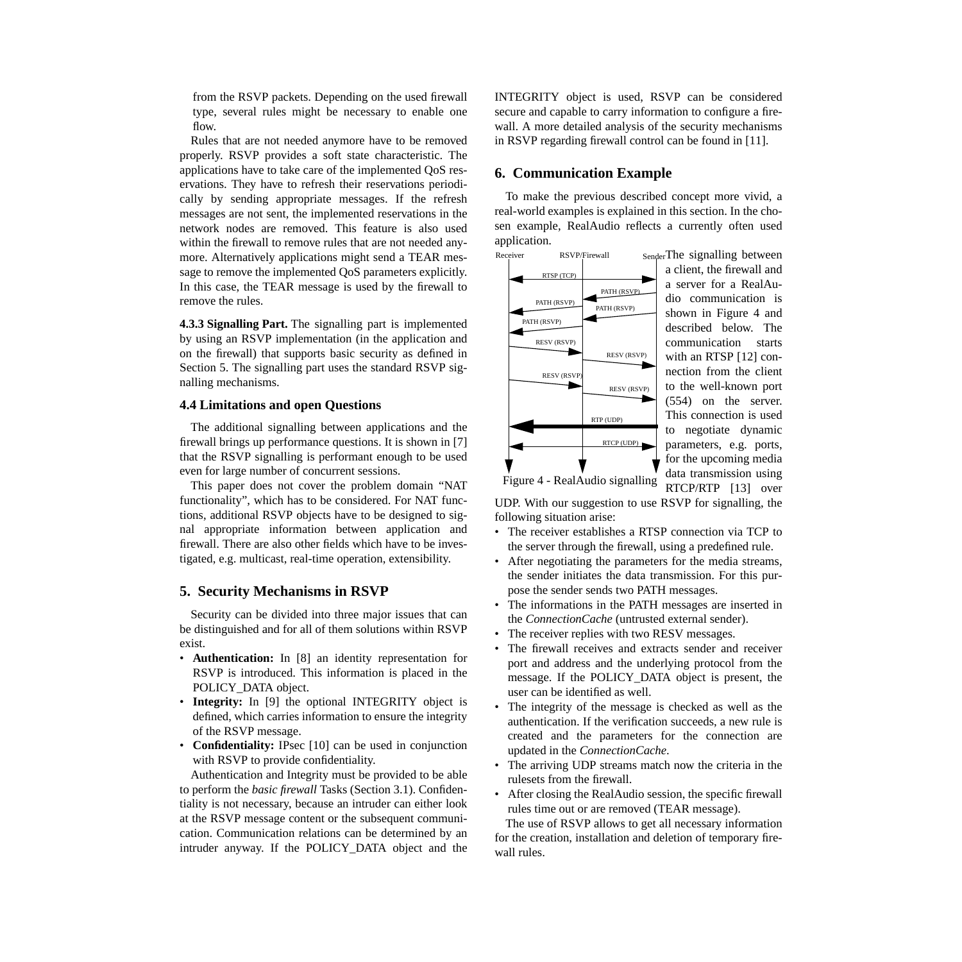<span id="page-4-0"></span>from the RSVP packets. Depending on the used firewall type, several rules might be necessary to enable one flow.

Rules that are not needed anymore have to be removed properly. RSVP provides a soft state characteristic. The applications have to take care of the implemented QoS reservations. They have to refresh their reservations periodically by sending appropriate messages. If the refresh messages are not sent, the implemented reservations in the network nodes are removed. This feature is also used within the firewall to remove rules that are not needed anymore. Alternatively applications might send a TEAR message to remove the implemented QoS parameters explicitly. In this case, the TEAR message is used by the firewall to remove the rules.

**4.3.3 Signalling Part.** The signalling part is implemented by using an RSVP implementation (in the application and on the firewall) that supports basic security as defined in Section 5. The signalling part uses the standard RSVP signalling mechanisms.

## **4.4 Limitations and open Questions**

The additional signalling between applications and the firewall brings up performance questions. It is shown in [\[7\]](#page-5-0) that the RSVP signalling is performant enough to be used even for large number of concurrent sessions.

This paper does not cover the problem domain "NAT functionality", which has to be considered. For NAT functions, additional RSVP objects have to be designed to signal appropriate information between application and firewall. There are also other fields which have to be investigated, e.g. multicast, real-time operation, extensibility.

### **5. Security Mechanisms in RSVP**

Security can be divided into three major issues that can be distinguished and for all of them solutions within RSVP exist.

- **Authentication:** In [\[8\]](#page-5-0) an identity representation for RSVP is introduced. This information is placed in the POLICY\_DATA object.
- **Integrity:** In [\[9\]](#page-5-0) the optional INTEGRITY object is defined, which carries information to ensure the integrity of the RSVP message.
- **Confidentiality:** IPsec [[10\] c](#page-5-0)an be used in conjunction with RSVP to provide confidentiality.

Authentication and Integrity must be provided to be able to perform the *basic firewall* Tasks ([Section 3.1](#page-1-0)). Confidentiality is not necessary, because an intruder can either look at the RSVP message content or the subsequent communication. Communication relations can be determined by an intruder anyway. If the POLICY\_DATA object and the INTEGRITY object is used, RSVP can be considered secure and capable to carry information to configure a firewall. A more detailed analysis of the security mechanisms in RSVP regarding firewall control can be found in [1[1\].](#page-5-0)

# **6. Communication Example**

To make the previous described concept more vivid, a real-world examples is explained in this section. In the chosen example, RealAudio reflects a currently often used application.



The signalling between a client, the firewall and a server for a RealAudio communication is shown in Figure 4 and described below. The communication starts with an RTSP [\[12\]](#page-5-0) connection from the client to the well-known port (554) on the server. This connection is used to negotiate dynamic parameters, e.g. ports, for the upcoming media data transmission using RTCP/RTP [\[13\]](#page-5-0) over

Figure 4 - RealAudio signalling

UDP. With our suggestion to use RSVP for signalling, the following situation arise:

- The receiver establishes a RTSP connection via TCP to the server through the firewall, using a predefined rule.
- After negotiating the parameters for the media streams, the sender initiates the data transmission. For this purpose the sender sends two PATH messages.
- The informations in the PATH messages are inserted in the *ConnectionCache* (untrusted external sender).
- The receiver replies with two RESV messages.
- The firewall receives and extracts sender and receiver port and address and the underlying protocol from the message. If the POLICY\_DATA object is present, the user can be identified as well.
- The integrity of the message is checked as well as the authentication. If the verification succeeds, a new rule is created and the parameters for the connection are updated in the *ConnectionCache*.
- The arriving UDP streams match now the criteria in the rulesets from the firewall.
- After closing the RealAudio session, the specific firewall rules time out or are removed (TEAR message).

The use of RSVP allows to get all necessary information for the creation, installation and deletion of temporary firewall rules.